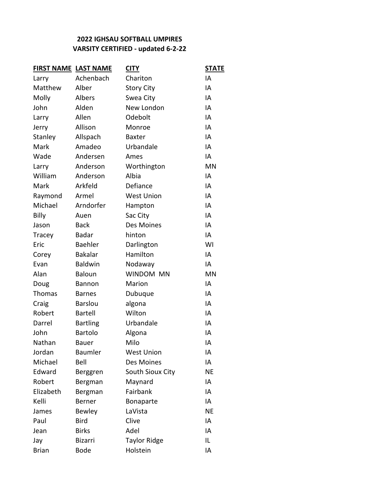## **VARSITY CERTIFIED - updated 6-2-22 2022 IGHSAU SOFTBALL UMPIRES**

| <b>FIRST NAME LAST NAME</b> |                 | <u>CITY</u>         | <b>STATE</b> |
|-----------------------------|-----------------|---------------------|--------------|
| Larry                       | Achenbach       | Chariton            | IA           |
| Matthew                     | Alber           | <b>Story City</b>   | IA           |
| Molly                       | Albers          | Swea City           | IA           |
| John                        | Alden           | New London          | IA           |
| Larry                       | Allen           | Odebolt             | IA           |
| Jerry                       | Allison         | Monroe              | IA           |
| Stanley                     | Allspach        | <b>Baxter</b>       | IA           |
| Mark                        | Amadeo          | Urbandale           | IA           |
| Wade                        | Andersen        | Ames                | IA           |
| Larry                       | Anderson        | Worthington         | MN           |
| William                     | Anderson        | Albia               | IA           |
| Mark                        | Arkfeld         | Defiance            | IA           |
| Raymond                     | Armel           | <b>West Union</b>   | IA           |
| Michael                     | Arndorfer       | Hampton             | IA           |
| <b>Billy</b>                | Auen            | Sac City            | IA           |
| Jason                       | <b>Back</b>     | Des Moines          | IA           |
| Tracey                      | <b>Badar</b>    | hinton              | IA           |
| Eric                        | <b>Baehler</b>  | Darlington          | WI           |
| Corey                       | <b>Bakalar</b>  | Hamilton            | IA           |
| Evan                        | <b>Baldwin</b>  | Nodaway             | IA           |
| Alan                        | <b>Baloun</b>   | WINDOM MN           | MN           |
| Doug                        | <b>Bannon</b>   | Marion              | IA           |
| Thomas                      | <b>Barnes</b>   | Dubuque             | IA           |
| Craig                       | <b>Barslou</b>  | algona              | IA           |
| Robert                      | <b>Bartell</b>  | Wilton              | IA           |
| Darrel                      | <b>Bartling</b> | Urbandale           | IA           |
| John                        | Bartolo         | Algona              | IA           |
| Nathan                      | Bauer           | Milo                | IA           |
| Jordan                      | Baumler         | <b>West Union</b>   | ΙA           |
| Michael                     | Bell            | Des Moines          | IA           |
| Edward                      | Berggren        | South Sioux City    | ΝE           |
| Robert                      | Bergman         | Maynard             | IA           |
| Elizabeth                   | Bergman         | Fairbank            | IA           |
| Kelli                       | Berner          | Bonaparte           | IA           |
| James                       | Bewley          | LaVista             | <b>NE</b>    |
| Paul                        | <b>Bird</b>     | Clive               | IA           |
| Jean                        | <b>Birks</b>    | Adel                | IA           |
| Jay                         | Bizarri         | <b>Taylor Ridge</b> | IL           |
| <b>Brian</b>                | <b>Bode</b>     | Holstein            | IA           |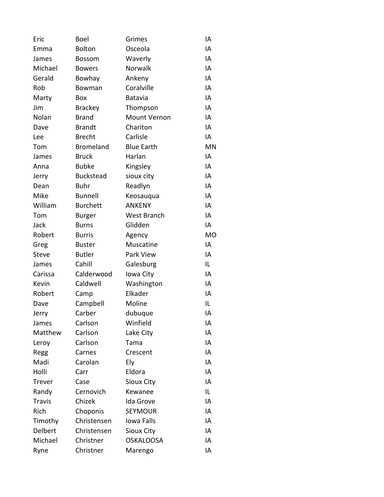| Eric          | <b>Boel</b>      | Grimes            | IA        |
|---------------|------------------|-------------------|-----------|
| Emma          | Bolton           | Osceola           | IA        |
| James         | <b>Bossom</b>    | Waverly           | IA        |
| Michael       | <b>Bowers</b>    | Norwalk           | IA        |
| Gerald        | Bowhay           | Ankeny            | IA        |
| Rob           | Bowman           | Coralville        | IA        |
| Marty         | Box              | Batavia           | IA        |
| Jim           | <b>Brackey</b>   | Thompson          | IA        |
| Nolan         | <b>Brand</b>     | Mount Vernon      | IA        |
| Dave          | <b>Brandt</b>    | Chariton          | IA        |
| Lee           | <b>Brecht</b>    | Carlisle          | IA        |
| Tom           | <b>Bromeland</b> | <b>Blue Earth</b> | <b>MN</b> |
| James         | <b>Bruck</b>     | Harlan            | IA        |
| Anna          | <b>Bubke</b>     | Kingsley          | IA        |
| Jerry         | <b>Buckstead</b> | sioux city        | IA        |
| Dean          | <b>Buhr</b>      | Readlyn           | IA        |
| Mike          | <b>Bunnell</b>   | Keosauqua         | IA        |
| William       | <b>Burchett</b>  | <b>ANKENY</b>     | IA        |
| Tom           | <b>Burger</b>    | West Branch       | IA        |
| Jack          | <b>Burns</b>     | Glidden           | IA        |
| Robert        | <b>Burris</b>    | Agency            | <b>MO</b> |
| Greg          | <b>Buster</b>    | Muscatine         | IA        |
| <b>Steve</b>  | <b>Butler</b>    | Park View         | IA        |
| James         | Cahill           | Galesburg         | IL        |
| Carissa       | Calderwood       | Iowa City         | IA        |
| Kevin         | Caldwell         | Washington        | IA        |
| Robert        | Camp             | Elkader           | IA        |
| Dave          | Campbell         | Moline            | IL        |
| Jerry         | Carber           | dubuque           | IA        |
| James         | Carlson          | Winfield          | ΙA        |
| Matthew       | Carlson          | Lake City         | ΙA        |
| Leroy         | Carlson          | Tama              | IA        |
| Regg          | Carnes           | Crescent          | IA        |
| Madi          | Carolan          | Ely               | IA        |
| Holli         | Carr             | Eldora            | IA        |
| <b>Trever</b> | Case             | <b>Sioux City</b> | IA        |
| Randy         | Cernovich        | Kewanee           | IL        |
| <b>Travis</b> | Chizek           | Ida Grove         | IA        |
| Rich          | Choponis         | <b>SEYMOUR</b>    | IA        |
| Timothy       | Christensen      | Iowa Falls        | IA        |
| Delbert       | Christensen      | Sioux City        | IA        |
| Michael       | Christner        | <b>OSKALOOSA</b>  | IA        |
| Ryne          | Christner        | Marengo           | ΙA        |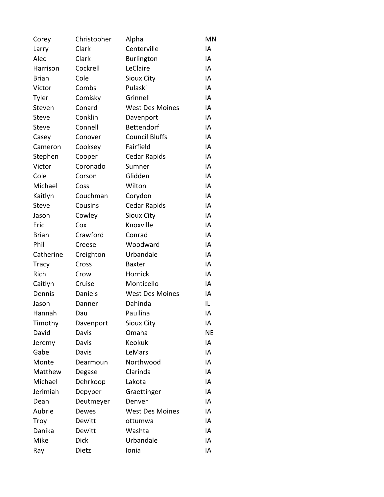| Corey        | Christopher | Alpha                  | MN        |
|--------------|-------------|------------------------|-----------|
| Larry        | Clark       | Centerville            | IA        |
| Alec         | Clark       | <b>Burlington</b>      | IA        |
| Harrison     | Cockrell    | LeClaire               | IA        |
| <b>Brian</b> | Cole        | <b>Sioux City</b>      | IA        |
| Victor       | Combs       | Pulaski                | IA        |
| Tyler        | Comisky     | Grinnell               | IA        |
| Steven       | Conard      | <b>West Des Moines</b> | IA        |
| <b>Steve</b> | Conklin     | Davenport              | IA        |
| Steve        | Connell     | Bettendorf             | IA        |
| Casey        | Conover     | <b>Council Bluffs</b>  | IA        |
| Cameron      | Cooksey     | Fairfield              | IA        |
| Stephen      | Cooper      | Cedar Rapids           | IA        |
| Victor       | Coronado    | Sumner                 | IA        |
| Cole         | Corson      | Glidden                | IA        |
| Michael      | Coss        | Wilton                 | IA        |
| Kaitlyn      | Couchman    | Corydon                | IA        |
| <b>Steve</b> | Cousins     | Cedar Rapids           | IA        |
| Jason        | Cowley      | Sioux City             | IA        |
| Eric         | Cox         | Knoxville              | IA        |
| <b>Brian</b> | Crawford    | Conrad                 | IA        |
| Phil         | Creese      | Woodward               | IA        |
| Catherine    | Creighton   | Urbandale              | IA        |
| <b>Tracy</b> | Cross       | <b>Baxter</b>          | IA        |
| Rich         | Crow        | Hornick                | IA        |
| Caitlyn      | Cruise      | Monticello             | IA        |
| Dennis       | Daniels     | <b>West Des Moines</b> | IA        |
| Jason        | Danner      | Dahinda                | IL        |
| Hannah       | Dau         | Paullina               | IA        |
| Timothy      | Davenport   | Sioux City             | ΙA        |
| David        | Davis       | Omaha                  | <b>NE</b> |
| Jeremy       | Davis       | Keokuk                 | IA        |
| Gabe         | Davis       | LeMars                 | IA        |
| Monte        | Dearmoun    | Northwood              | IA        |
| Matthew      | Degase      | Clarinda               | IA        |
| Michael      | Dehrkoop    | Lakota                 | IA        |
| Jerimiah     | Depyper     | Graettinger            | IA        |
| Dean         | Deutmeyer   | Denver                 | IA        |
| Aubrie       | Dewes       | <b>West Des Moines</b> | IA        |
| Troy         | Dewitt      | ottumwa                | IA        |
| Danika       | Dewitt      | Washta                 | IA        |
| Mike         | <b>Dick</b> | Urbandale              | IA        |
| Ray          | Dietz       | Ionia                  | IA        |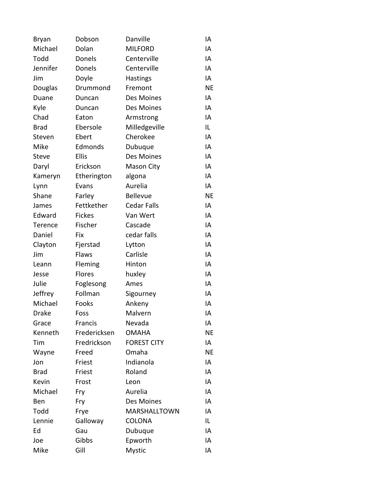| Bryan        | Dobson        | Danville           | ΙA        |
|--------------|---------------|--------------------|-----------|
| Michael      | Dolan         | <b>MILFORD</b>     | IA        |
| Todd         | Donels        | Centerville        | IA        |
| Jennifer     | Donels        | Centerville        | IA        |
| Jim          | Doyle         | <b>Hastings</b>    | IA        |
| Douglas      | Drummond      | Fremont            | <b>NE</b> |
| Duane        | Duncan        | Des Moines         | IA        |
| Kyle         | Duncan        | Des Moines         | IA        |
| Chad         | Eaton         | Armstrong          | IA        |
| <b>Brad</b>  | Ebersole      | Milledgeville      | IL        |
| Steven       | Ebert         | Cherokee           | IA        |
| Mike         | Edmonds       | Dubuque            | IA        |
| <b>Steve</b> | <b>Ellis</b>  | Des Moines         | IA        |
| Daryl        | Erickson      | Mason City         | IA        |
| Kameryn      | Etherington   | algona             | IA        |
| Lynn         | Evans         | Aurelia            | IA        |
| Shane        | Farley        | <b>Bellevue</b>    | <b>NE</b> |
| James        | Fettkether    | <b>Cedar Falls</b> | IA        |
| Edward       | <b>Fickes</b> | Van Wert           | IA        |
| Terence      | Fischer       | Cascade            | IA        |
| Daniel       | Fix           | cedar falls        | IA        |
| Clayton      | Fjerstad      | Lytton             | IA        |
| Jim          | Flaws         | Carlisle           | IA        |
| Leann        | Fleming       | Hinton             | IA        |
| Jesse        | <b>Flores</b> | huxley             | IA        |
| Julie        | Foglesong     | Ames               | IA        |
| Jeffrey      | Follman       | Sigourney          | IA        |
| Michael      | Fooks         | Ankeny             | IA        |
| <b>Drake</b> | Foss          | Malvern            | IA        |
| Grace        | Francis       | Nevada             | IA        |
| Kenneth      | Fredericksen  | <b>OMAHA</b>       | ΝE        |
| Tim          | Fredrickson   | <b>FOREST CITY</b> | IA        |
| Wayne        | Freed         | Omaha              | ΝE        |
| Jon          | Friest        | Indianola          | IA        |
| <b>Brad</b>  | Friest        | Roland             | IA        |
| Kevin        | Frost         | Leon               | IA        |
| Michael      | Fry           | Aurelia            | IA        |
| Ben          | Fry           | Des Moines         | IA        |
| Todd         | Frye          | MARSHALLTOWN       | IA        |
| Lennie       | Galloway      | <b>COLONA</b>      | IL        |
| Ed           | Gau           | Dubuque            | IA        |
| Joe          | Gibbs         | Epworth            | IA        |
| Mike         | Gill          | Mystic             | ΙA        |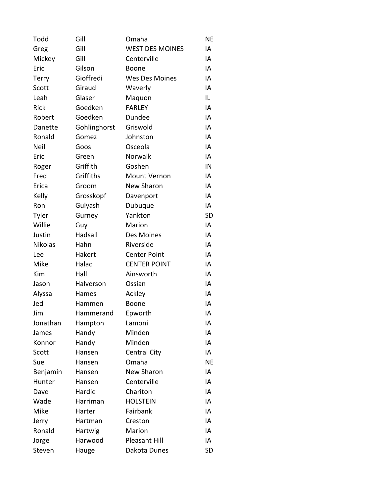| Todd         | Gill         | Omaha                  | ΝE        |
|--------------|--------------|------------------------|-----------|
| Greg         | Gill         | <b>WEST DES MOINES</b> | IA        |
| Mickey       | Gill         | Centerville            | IA        |
| Eric         | Gilson       | <b>Boone</b>           | IA        |
| <b>Terry</b> | Gioffredi    | Wes Des Moines         | IA        |
| Scott        | Giraud       | Waverly                | IA        |
| Leah         | Glaser       | Maquon                 | IL        |
| <b>Rick</b>  | Goedken      | <b>FARLEY</b>          | IA        |
| Robert       | Goedken      | Dundee                 | IA        |
| Danette      | Gohlinghorst | Griswold               | IA        |
| Ronald       | Gomez        | Johnston               | ΙA        |
| Neil         | Goos         | Osceola                | IA        |
| Eric         | Green        | Norwalk                | IA        |
| Roger        | Griffith     | Goshen                 | IN        |
| Fred         | Griffiths    | <b>Mount Vernon</b>    | IA        |
| Erica        | Groom        | <b>New Sharon</b>      | IA        |
| Kelly        | Grosskopf    | Davenport              | IA        |
| Ron          | Gulyash      | Dubuque                | IA        |
| Tyler        | Gurney       | Yankton                | <b>SD</b> |
| Willie       | Guy          | Marion                 | IA        |
| Justin       | Hadsall      | Des Moines             | IA        |
| Nikolas      | Hahn         | Riverside              | IA        |
| Lee          | Hakert       | <b>Center Point</b>    | IA        |
| Mike         | Halac        | <b>CENTER POINT</b>    | IA        |
| Kim          | Hall         | Ainsworth              | IA        |
| Jason        | Halverson    | Ossian                 | IA        |
| Alyssa       | Hames        | Ackley                 | IA        |
| Jed          | Hammen       | Boone                  | IA        |
| Jim          | Hammerand    | Epworth                | IA        |
| Jonathan     | Hampton      | Lamoni                 | IA        |
| James        | Handy        | Minden                 | IA        |
| Konnor       | Handy        | Minden                 | IA        |
| Scott        | Hansen       | <b>Central City</b>    | IA        |
| Sue          | Hansen       | Omaha                  | <b>NE</b> |
| Benjamin     | Hansen       | <b>New Sharon</b>      | IA        |
| Hunter       | Hansen       | Centerville            | ΙA        |
| Dave         | Hardie       | Chariton               | IA        |
| Wade         | Harriman     | <b>HOLSTEIN</b>        | IA        |
| Mike         | Harter       | Fairbank               | IA        |
| Jerry        | Hartman      | Creston                | IA        |
| Ronald       | Hartwig      | Marion                 | ΙA        |
| Jorge        | Harwood      | <b>Pleasant Hill</b>   | ΙA        |
| Steven       | Hauge        | Dakota Dunes           | <b>SD</b> |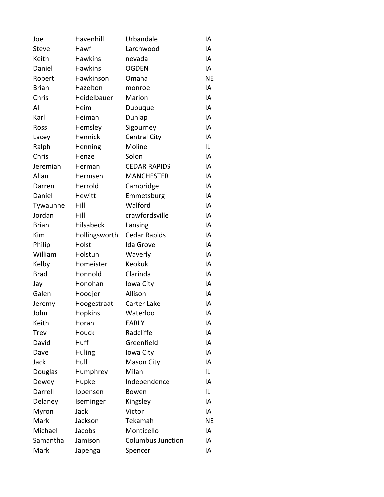| Joe          | Havenhill      | Urbandale                | IA        |
|--------------|----------------|--------------------------|-----------|
| <b>Steve</b> | Hawf           | Larchwood                | IA        |
| Keith        | <b>Hawkins</b> | nevada                   | IA        |
| Daniel       | <b>Hawkins</b> | <b>OGDEN</b>             | IA        |
| Robert       | Hawkinson      | Omaha                    | <b>NE</b> |
| <b>Brian</b> | Hazelton       | monroe                   | IA        |
| Chris        | Heidelbauer    | Marion                   | IA        |
| Al           | Heim           | Dubuque                  | IA        |
| Karl         | Heiman         | Dunlap                   | IA        |
| Ross         | Hemsley        | Sigourney                | IA        |
| Lacey        | Hennick        | <b>Central City</b>      | IA        |
| Ralph        | Henning        | Moline                   | IL        |
| Chris        | Henze          | Solon                    | IA        |
| Jeremiah     | Herman         | <b>CEDAR RAPIDS</b>      | IA        |
| Allan        | Hermsen        | <b>MANCHESTER</b>        | IA        |
| Darren       | Herrold        | Cambridge                | IA        |
| Daniel       | Hewitt         | Emmetsburg               | IA        |
| Tywaunne     | Hill           | Walford                  | IA        |
| Jordan       | Hill           | crawfordsville           | IA        |
| <b>Brian</b> | Hilsabeck      | Lansing                  | IA        |
| Kim          | Hollingsworth  | <b>Cedar Rapids</b>      | ΙA        |
| Philip       | Holst          | Ida Grove                | IA        |
| William      | Holstun        | Waverly                  | IA        |
| Kelby        | Homeister      | Keokuk                   | IA        |
| <b>Brad</b>  | Honnold        | Clarinda                 | IA        |
| Jay          | Honohan        | Iowa City                | IA        |
| Galen        | Hoodjer        | Allison                  | IA        |
| Jeremy       | Hoogestraat    | Carter Lake              | IA        |
| John         | Hopkins        | Waterloo                 | IA        |
| Keith        | Horan          | <b>EARLY</b>             | ΙA        |
| Trev         | Houck          | Radcliffe                | IA        |
| David        | Huff           | Greenfield               | IA        |
| Dave         | Huling         | Iowa City                | IA        |
| Jack         | Hull           | Mason City               | IA        |
| Douglas      | Humphrey       | Milan                    | IL        |
| Dewey        | Hupke          | Independence             | IA        |
| Darrell      | Ippensen       | Bowen                    | IL        |
| Delaney      | Iseminger      | Kingsley                 | IA        |
| Myron        | Jack           | Victor                   | IA        |
| Mark         | Jackson        | Tekamah                  | ΝE        |
| Michael      | Jacobs         | Monticello               | IA        |
| Samantha     | Jamison        | <b>Columbus Junction</b> | IA        |
| Mark         | Japenga        | Spencer                  | IA        |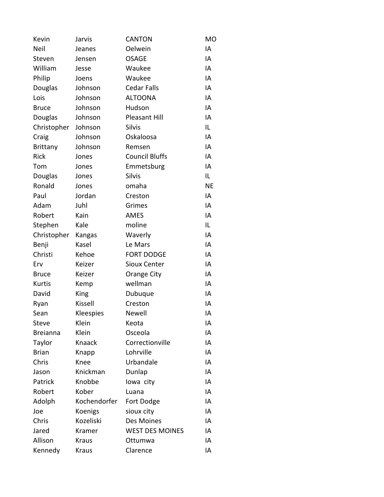| Kevin           | Jarvis       | <b>CANTON</b>          | <b>MO</b> |
|-----------------|--------------|------------------------|-----------|
| Neil            | Jeanes       | Oelwein                | IA        |
| Steven          | Jensen       | <b>OSAGE</b>           | IA        |
| William         | Jesse        | Waukee                 | IA        |
| Philip          | Joens        | Waukee                 | IA        |
| Douglas         | Johnson      | <b>Cedar Falls</b>     | IA        |
| Lois            | Johnson      | <b>ALTOONA</b>         | IA        |
| <b>Bruce</b>    | Johnson      | Hudson                 | IA        |
| Douglas         | Johnson      | <b>Pleasant Hill</b>   | IA        |
| Christopher     | Johnson      | <b>Silvis</b>          | IL.       |
| Craig           | Johnson      | Oskaloosa              | IA        |
| <b>Brittany</b> | Johnson      | Remsen                 | IA        |
| <b>Rick</b>     | Jones        | <b>Council Bluffs</b>  | IA        |
| Tom             | Jones        | Emmetsburg             | IA        |
| Douglas         | Jones        | <b>Silvis</b>          | IL.       |
| Ronald          | Jones        | omaha                  | <b>NE</b> |
| Paul            | Jordan       | Creston                | IA        |
| Adam            | Juhl         | Grimes                 | IA        |
| Robert          | Kain         | AMES                   | IA        |
| Stephen         | Kale         | moline                 | IL.       |
| Christopher     | Kangas       | Waverly                | IA        |
| Benji           | Kasel        | Le Mars                | IA        |
| Christi         | Kehoe        | <b>FORT DODGE</b>      | IA        |
| Erv             | Keizer       | <b>Sioux Center</b>    | IA        |
| <b>Bruce</b>    | Keizer       | Orange City            | IA        |
| Kurtis          | Kemp         | wellman                | IA        |
| David           | King         | Dubuque                | IA        |
| Ryan            | Kissell      | Creston                | IA        |
| Sean            | Kleespies    | Newell                 | IA        |
| Steve           | Klein        | Keota                  | ΙA        |
| <b>Breianna</b> | Klein        | Osceola                | ΙA        |
| Taylor          | Knaack       | Correctionville        | IA        |
| <b>Brian</b>    | Knapp        | Lohrville              | IA        |
| Chris           | Knee         | Urbandale              | IA        |
| Jason           | Knickman     | Dunlap                 | IA        |
| Patrick         | Knobbe       | lowa city              | IA        |
| Robert          | Kober        | Luana                  | IA        |
| Adolph          | Kochendorfer | Fort Dodge             | IA        |
| Joe             | Koenigs      | sioux city             | IA        |
| Chris           | Kozeliski    | Des Moines             | ΙA        |
| Jared           | Kramer       | <b>WEST DES MOINES</b> | IA        |
| Allison         | <b>Kraus</b> | Ottumwa                | IA        |
| Kennedy         | Kraus        | Clarence               | ΙA        |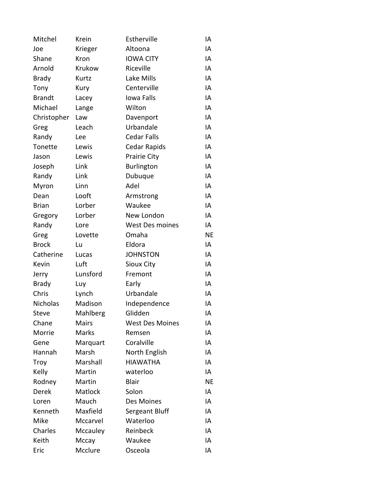| Mitchel       | Krein          | Estherville            | IA        |
|---------------|----------------|------------------------|-----------|
| Joe           | Krieger        | Altoona                | IA        |
| Shane         | Kron           | <b>IOWA CITY</b>       | IA        |
| Arnold        | Krukow         | Riceville              | IA        |
| <b>Brady</b>  | Kurtz          | Lake Mills             | IA        |
| Tony          | Kury           | Centerville            | IA        |
| <b>Brandt</b> | Lacey          | Iowa Falls             | IA        |
| Michael       | Lange          | Wilton                 | IA        |
| Christopher   | Law            | Davenport              | IA        |
| Greg          | Leach          | Urbandale              | IA        |
| Randy         | Lee            | <b>Cedar Falls</b>     | IA        |
| Tonette       | Lewis          | Cedar Rapids           | IA        |
| Jason         | Lewis          | Prairie City           | IA        |
| Joseph        | Link           | <b>Burlington</b>      | IA        |
| Randy         | Link           | Dubuque                | IA        |
| Myron         | Linn           | Adel                   | IA        |
| Dean          | Looft          | Armstrong              | IA        |
| <b>Brian</b>  | Lorber         | Waukee                 | IA        |
| Gregory       | Lorber         | New London             | IA        |
| Randy         | Lore           | <b>West Des moines</b> | IA        |
| Greg          | Lovette        | Omaha                  | <b>NE</b> |
| <b>Brock</b>  | Lu             | Eldora                 | IA        |
| Catherine     | Lucas          | <b>JOHNSTON</b>        | IA        |
| Kevin         | Luft           | Sioux City             | IA        |
| Jerry         | Lunsford       | Fremont                | IA        |
| <b>Brady</b>  | Luy            | Early                  | IA        |
| Chris         | Lynch          | Urbandale              | IA        |
| Nicholas      | Madison        | Independence           | IA        |
| <b>Steve</b>  | Mahlberg       | Glidden                | IA        |
| Chane         | <b>Mairs</b>   | <b>West Des Moines</b> | IA        |
| Morrie        | Marks          | Remsen                 | IA        |
| Gene          | Marquart       | Coralville             | IA        |
| Hannah        | Marsh          | North English          | IA        |
| Troy          | Marshall       | <b>HIAWATHA</b>        | IA        |
| Kelly         | Martin         | waterloo               | IA        |
| Rodney        | Martin         | <b>Blair</b>           | <b>NE</b> |
| Derek         | <b>Matlock</b> | Solon                  | IA        |
| Loren         | Mauch          | Des Moines             | IA        |
| Kenneth       | Maxfield       | Sergeant Bluff         | IA        |
| Mike          | Mccarvel       | Waterloo               | IA        |
| Charles       | Mccauley       | Reinbeck               | IA        |
| Keith         | Mccay          | Waukee                 | IA        |
| Eric          | Mcclure        | Osceola                | ΙA        |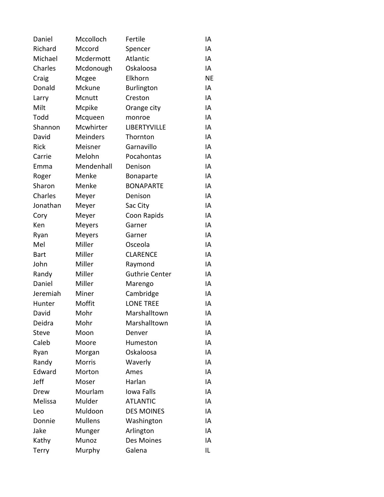| Daniel       | Mccolloch       | Fertile               | ΙA        |
|--------------|-----------------|-----------------------|-----------|
| Richard      | Mccord          | Spencer               | IA        |
| Michael      | Mcdermott       | Atlantic              | IA        |
| Charles      | Mcdonough       | Oskaloosa             | ΙA        |
| Craig        | Mcgee           | Elkhorn               | <b>NE</b> |
| Donald       | Mckune          | <b>Burlington</b>     | IA        |
| Larry        | Mcnutt          | Creston               | IA        |
| Milt         | Mcpike          | Orange city           | IA        |
| Todd         | Mcqueen         | monroe                | IA        |
| Shannon      | Mcwhirter       | LIBERTYVILLE          | IA        |
| David        | <b>Meinders</b> | Thornton              | IA        |
| Rick         | Meisner         | Garnavillo            | IA        |
| Carrie       | Melohn          | Pocahontas            | IA        |
| Emma         | Mendenhall      | Denison               | IA        |
| Roger        | Menke           | Bonaparte             | IA        |
| Sharon       | Menke           | <b>BONAPARTE</b>      | IA        |
| Charles      | Meyer           | Denison               | IA        |
| Jonathan     | Meyer           | Sac City              | IA        |
| Cory         | Meyer           | Coon Rapids           | IA        |
| Ken          | Meyers          | Garner                | IA        |
| Ryan         | Meyers          | Garner                | IA        |
| Mel          | Miller          | Osceola               | IA        |
| <b>Bart</b>  | Miller          | <b>CLARENCE</b>       | IA        |
| John         | Miller          | Raymond               | IA        |
| Randy        | Miller          | <b>Guthrie Center</b> | IA        |
| Daniel       | Miller          | Marengo               | IA        |
| Jeremiah     | Miner           | Cambridge             | IA        |
| Hunter       | Moffit          | <b>LONE TREE</b>      | IA        |
| David        | Mohr            | Marshalltown          | IA        |
| Deidra       | Mohr            | Marshalltown          | IA        |
| <b>Steve</b> | Moon            | Denver                | IA        |
| Caleb        | Moore           | Humeston              | IA        |
| Ryan         | Morgan          | Oskaloosa             | IA        |
| Randy        | <b>Morris</b>   | Waverly               | IA        |
| Edward       | Morton          | Ames                  | IA        |
| Jeff         | Moser           | Harlan                | IA        |
| Drew         | Mourlam         | Iowa Falls            | IA        |
| Melissa      | Mulder          | <b>ATLANTIC</b>       | IA        |
| Leo          | Muldoon         | <b>DES MOINES</b>     | IA        |
| Donnie       | <b>Mullens</b>  | Washington            | IA        |
| Jake         | Munger          | Arlington             | IA        |
| Kathy        | Munoz           | Des Moines            | IA        |
| <b>Terry</b> | Murphy          | Galena                | IL        |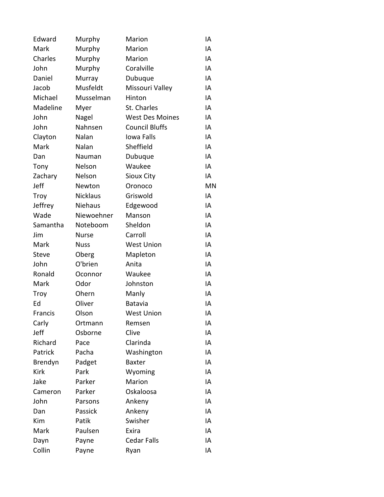| Edward       | Murphy          | Marion                 | IA        |
|--------------|-----------------|------------------------|-----------|
| Mark         | Murphy          | Marion                 | IA        |
| Charles      | Murphy          | Marion                 | IA        |
| John         | Murphy          | Coralville             | IA        |
| Daniel       | Murray          | Dubuque                | IA        |
| Jacob        | Musfeldt        | Missouri Valley        | IA        |
| Michael      | Musselman       | Hinton                 | IA        |
| Madeline     | Myer            | St. Charles            | IA        |
| John         | Nagel           | <b>West Des Moines</b> | IA        |
| John         | Nahnsen         | <b>Council Bluffs</b>  | IA        |
| Clayton      | Nalan           | Iowa Falls             | IA        |
| Mark         | Nalan           | Sheffield              | IA        |
| Dan          | Nauman          | Dubuque                | IA        |
| Tony         | Nelson          | Waukee                 | IA        |
| Zachary      | Nelson          | Sioux City             | IA        |
| Jeff         | Newton          | Oronoco                | <b>MN</b> |
| Troy         | <b>Nicklaus</b> | Griswold               | IA        |
| Jeffrey      | Niehaus         | Edgewood               | IA        |
| Wade         | Niewoehner      | Manson                 | IA        |
| Samantha     | Noteboom        | Sheldon                | IA        |
| Jim          | Nurse           | Carroll                | IA        |
| Mark         | <b>Nuss</b>     | <b>West Union</b>      | IA        |
| <b>Steve</b> | Oberg           | Mapleton               | IA        |
| John         | O'brien         | Anita                  | IA        |
| Ronald       | Oconnor         | Waukee                 | IA        |
| Mark         | Odor            | Johnston               | IA        |
| <b>Troy</b>  | Ohern           | Manly                  | IA        |
| Ed           | Oliver          | Batavia                | IA        |
| Francis      | Olson           | <b>West Union</b>      | IA        |
| Carly        | Ortmann         | Remsen                 | IA        |
| Jeff         | Osborne         | Clive                  | IA        |
| Richard      | Pace            | Clarinda               | IA        |
| Patrick      | Pacha           | Washington             | IA        |
| Brendyn      | Padget          | <b>Baxter</b>          | IA        |
| <b>Kirk</b>  | Park            | Wyoming                | IA        |
| Jake         | Parker          | Marion                 | IA        |
| Cameron      | Parker          | Oskaloosa              | IA        |
| John         | Parsons         | Ankeny                 | IA        |
| Dan          | Passick         | Ankeny                 | IA        |
| Kim          | Patik           | Swisher                | IA        |
| Mark         | Paulsen         | Exira                  | IA        |
| Dayn         | Payne           | <b>Cedar Falls</b>     | IA        |
| Collin       | Payne           | Ryan                   | IA        |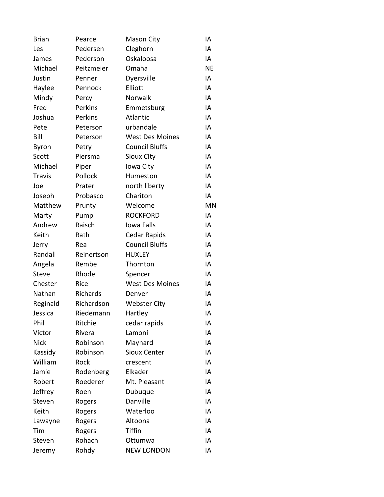| <b>Brian</b>  | Pearce     | <b>Mason City</b>      | IA        |
|---------------|------------|------------------------|-----------|
| Les           | Pedersen   | Cleghorn               | IA        |
| James         | Pederson   | Oskaloosa              | IA        |
| Michael       | Peitzmeier | Omaha                  | <b>NE</b> |
| Justin        | Penner     | Dyersville             | IA        |
| Haylee        | Pennock    | Elliott                | IA        |
| Mindy         | Percy      | Norwalk                | IA        |
| Fred          | Perkins    | Emmetsburg             | IA        |
| Joshua        | Perkins    | Atlantic               | IA        |
| Pete          | Peterson   | urbandale              | IA        |
| Bill          | Peterson   | <b>West Des Moines</b> | IA        |
| Byron         | Petry      | <b>Council Bluffs</b>  | IA        |
| Scott         | Piersma    | <b>Sioux Clty</b>      | IA        |
| Michael       | Piper      | Iowa City              | IA        |
| <b>Travis</b> | Pollock    | Humeston               | IA        |
| Joe           | Prater     | north liberty          | IA        |
| Joseph        | Probasco   | Chariton               | IA        |
| Matthew       | Prunty     | Welcome                | <b>MN</b> |
| Marty         | Pump       | <b>ROCKFORD</b>        | IA        |
| Andrew        | Raisch     | Iowa Falls             | IA        |
| Keith         | Rath       | Cedar Rapids           | IA        |
| Jerry         | Rea        | <b>Council Bluffs</b>  | IA        |
| Randall       | Reinertson | <b>HUXLEY</b>          | IA        |
| Angela        | Rembe      | Thornton               | IA        |
| <b>Steve</b>  | Rhode      | Spencer                | IA        |
| Chester       | Rice       | <b>West Des Moines</b> | IA        |
| Nathan        | Richards   | Denver                 | IA        |
| Reginald      | Richardson | <b>Webster City</b>    | IA        |
| Jessica       | Riedemann  | Hartley                | IA        |
| Phil          | Ritchie    | cedar rapids           | IA        |
| Victor        | Rivera     | Lamoni                 | IA        |
| <b>Nick</b>   | Robinson   | Maynard                | IA        |
| Kassidy       | Robinson   | <b>Sioux Center</b>    | IA        |
| William       | Rock       | crescent               | IA        |
| Jamie         | Rodenberg  | Elkader                | IA        |
| Robert        | Roederer   | Mt. Pleasant           | IA        |
| Jeffrey       | Roen       | Dubuque                | IA        |
| Steven        | Rogers     | Danville               | IA        |
| Keith         | Rogers     | Waterloo               | IA        |
| Lawayne       | Rogers     | Altoona                | IA        |
| Tim           | Rogers     | Tiffin                 | IA        |
| Steven        | Rohach     | Ottumwa                | IA        |
| Jeremy        | Rohdy      | <b>NEW LONDON</b>      | IA        |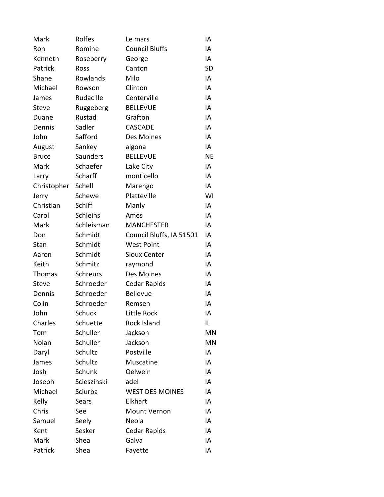| Mark         | Rolfes          | Le mars                  | IA        |
|--------------|-----------------|--------------------------|-----------|
| Ron          | Romine          | <b>Council Bluffs</b>    | IA        |
| Kenneth      | Roseberry       | George                   | IA        |
| Patrick      | Ross            | Canton                   | <b>SD</b> |
| Shane        | Rowlands        | Milo                     | IA        |
| Michael      | Rowson          | Clinton                  | IA        |
| James        | Rudacille       | Centerville              | IA        |
| <b>Steve</b> | Ruggeberg       | <b>BELLEVUE</b>          | IA        |
| Duane        | Rustad          | Grafton                  | IA        |
| Dennis       | Sadler          | CASCADE                  | IA        |
| John         | Safford         | Des Moines               | IA        |
| August       | Sankey          | algona                   | IA        |
| <b>Bruce</b> | Saunders        | <b>BELLEVUE</b>          | <b>NE</b> |
| Mark         | Schaefer        | Lake City                | IA        |
| Larry        | Scharff         | monticello               | IA        |
| Christopher  | Schell          | Marengo                  | IA        |
| Jerry        | Schewe          | Platteville              | WI        |
| Christian    | Schiff          | Manly                    | IA        |
| Carol        | <b>Schleihs</b> | Ames                     | IA        |
| Mark         | Schleisman      | <b>MANCHESTER</b>        | IA        |
| Don          | Schmidt         | Council Bluffs, IA 51501 | IA        |
| Stan         | Schmidt         | <b>West Point</b>        | IA        |
| Aaron        | Schmidt         | <b>Sioux Center</b>      | IA        |
| Keith        | Schmitz         | raymond                  | IA        |
| Thomas       | Schreurs        | Des Moines               | IA        |
| <b>Steve</b> | Schroeder       | Cedar Rapids             | IA        |
| Dennis       | Schroeder       | <b>Bellevue</b>          | IA        |
| Colin        | Schroeder       | Remsen                   | IA        |
| John         | <b>Schuck</b>   | Little Rock              | IA        |
| Charles      | Schuette        | Rock Island              | IL        |
| Tom          | Schuller        | Jackson                  | <b>MN</b> |
| Nolan        | Schuller        | Jackson                  | MN        |
| Daryl        | Schultz         | Postville                | IA        |
| James        | Schultz         | Muscatine                | IA        |
| Josh         | Schunk          | Oelwein                  | IA        |
| Joseph       | Scieszinski     | adel                     | IA        |
| Michael      | Sciurba         | <b>WEST DES MOINES</b>   | IA        |
| Kelly        | Sears           | Elkhart                  | IA        |
| Chris        | See             | Mount Vernon             | IA        |
| Samuel       | Seely           | Neola                    | IA        |
| Kent         | Sesker          | Cedar Rapids             | IA        |
| Mark         | Shea            | Galva                    | IA        |
| Patrick      | Shea            | Fayette                  | IA        |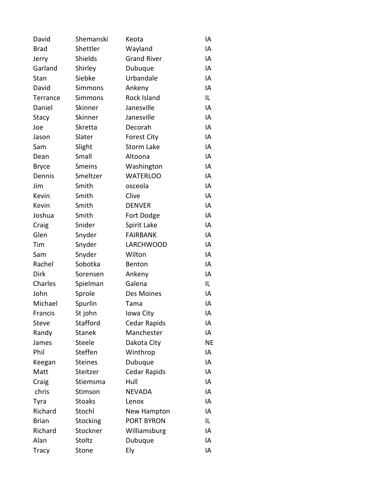| David        | Shemanski      | Keota               | ΙA        |
|--------------|----------------|---------------------|-----------|
| <b>Brad</b>  | Shettler       | Wayland             | IA        |
| Jerry        | Shields        | <b>Grand River</b>  | IA        |
| Garland      | Shirley        | Dubuque             | IA        |
| Stan         | Siebke         | Urbandale           | IA        |
| David        | Simmons        | Ankeny              | IA        |
| Terrance     | Simmons        | <b>Rock Island</b>  | IL        |
| Daniel       | Skinner        | Janesville          | IA        |
| Stacy        | Skinner        | Janesville          | IA        |
| Joe          | Skretta        | Decorah             | IA        |
| Jason        | Slater         | <b>Forest City</b>  | ΙA        |
| Sam          | Slight         | <b>Storm Lake</b>   | IA        |
| Dean         | Small          | Altoona             | IA        |
| <b>Bryce</b> | <b>Smeins</b>  | Washington          | IA        |
| Dennis       | Smeltzer       | <b>WATERLOO</b>     | ΙA        |
| Jim          | Smith          | osceola             | ΙA        |
| Kevin        | Smith          | Clive               | IA        |
| Kevin        | Smith          | <b>DENVER</b>       | IA        |
| Joshua       | Smith          | Fort Dodge          | IA        |
| Craig        | Snider         | Spirit Lake         | IA        |
| Glen         | Snyder         | <b>FAIRBANK</b>     | IA        |
| Tim          | Snyder         | LARCHWOOD           | IA        |
| Sam          | Snyder         | Wilton              | IA        |
| Rachel       | Sobotka        | Benton              | IA        |
| <b>Dirk</b>  | Sorensen       | Ankeny              | ΙA        |
| Charles      | Spielman       | Galena              | IL        |
| John         | Sprole         | Des Moines          | ΙA        |
| Michael      | Spurlin        | Tama                | ΙA        |
| Francis      | St john        | Iowa City           | IA        |
| Steve        | Stafford       | Cedar Rapids        | ΙA        |
| Randy        | <b>Stanek</b>  | Manchester          | IA        |
| James        | Steele         | Dakota City         | <b>NE</b> |
| Phil         | Steffen        | Winthrop            | IA        |
| Keegan       | <b>Steines</b> | Dubuque             | IA        |
| Matt         | Steitzer       | <b>Cedar Rapids</b> | IA        |
| Craig        | Stiemsma       | Hull                | IA        |
| chris        | Stimson        | <b>NEVADA</b>       | IA        |
| Tyra         | <b>Stoaks</b>  | Lenox               | IA        |
| Richard      | Stochl         | New Hampton         | IA        |
| <b>Brian</b> | Stocking       | PORT BYRON          | IL        |
| Richard      | Stockner       | Williamsburg        | ΙA        |
| Alan         | Stoltz         | Dubuque             | ΙA        |
| Tracy        | Stone          | Ely                 | ΙA        |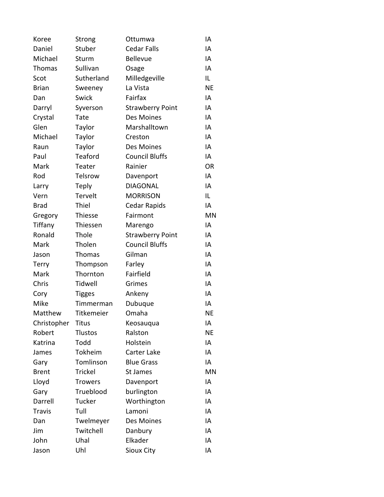| Koree         | Strong         | Ottumwa                 | ΙA        |
|---------------|----------------|-------------------------|-----------|
| Daniel        | Stuber         | <b>Cedar Falls</b>      | IA        |
| Michael       | Sturm          | <b>Bellevue</b>         | IA        |
| Thomas        | Sullivan       | Osage                   | IA        |
| Scot          | Sutherland     | Milledgeville           | IL        |
| <b>Brian</b>  | Sweeney        | La Vista                | <b>NE</b> |
| Dan           | Swick          | Fairfax                 | IA        |
| Darryl        | Syverson       | <b>Strawberry Point</b> | IA        |
| Crystal       | Tate           | Des Moines              | IA        |
| Glen          | Taylor         | Marshalltown            | IA        |
| Michael       | Taylor         | Creston                 | IA        |
| Raun          | Taylor         | Des Moines              | IA        |
| Paul          | Teaford        | <b>Council Bluffs</b>   | IA        |
| Mark          | Teater         | Rainier                 | <b>OR</b> |
| Rod           | Telsrow        | Davenport               | IA        |
| Larry         | <b>Teply</b>   | <b>DIAGONAL</b>         | IA        |
| Vern          | Tervelt        | <b>MORRISON</b>         | IL        |
| <b>Brad</b>   | Thiel          | Cedar Rapids            | IA        |
| Gregory       | Thiesse        | Fairmont                | MN        |
| Tiffany       | Thiessen       | Marengo                 | IA        |
| Ronald        | Thole          | <b>Strawberry Point</b> | IA        |
| Mark          | Tholen         | <b>Council Bluffs</b>   | IA        |
| Jason         | Thomas         | Gilman                  | IA        |
| <b>Terry</b>  | Thompson       | Farley                  | IA        |
| Mark          | Thornton       | Fairfield               | IA        |
| Chris         | <b>Tidwell</b> | Grimes                  | IA        |
| Cory          | <b>Tigges</b>  | Ankeny                  | IA        |
| Mike          | Timmerman      | Dubuque                 | IA        |
| Matthew       | Titkemeier     | Omaha                   | <b>NE</b> |
| Christopher   | Titus          | Keosauqua               | IA        |
| Robert        | <b>Tlustos</b> | Ralston                 | NE        |
| Katrina       | Todd           | Holstein                | IA        |
| James         | Tokheim        | Carter Lake             | IA        |
| Gary          | Tomlinson      | <b>Blue Grass</b>       | IA        |
| <b>Brent</b>  | <b>Trickel</b> | St James                | <b>MN</b> |
| Lloyd         | <b>Trowers</b> | Davenport               | IA        |
| Gary          | Trueblood      | burlington              | IA        |
| Darrell       | Tucker         | Worthington             | IA        |
| <b>Travis</b> | Tull           | Lamoni                  | IA        |
| Dan           | Twelmeyer      | Des Moines              | IA        |
| Jim           | Twitchell      | Danbury                 | IA        |
| John          | Uhal           | Elkader                 | IA        |
| Jason         | Uhl            | Sioux City              | IA        |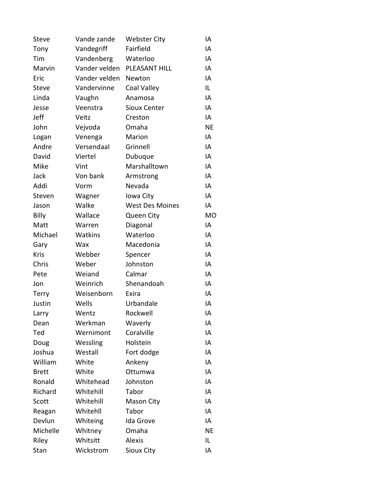| <b>Steve</b> | Vande zande   | <b>Webster City</b>    | IA        |
|--------------|---------------|------------------------|-----------|
| Tony         | Vandegriff    | Fairfield              | IA        |
| Tim          | Vandenberg    | Waterloo               | IA        |
| Marvin       | Vander velden | PLEASANT HILL          | IA        |
| Eric         | Vander velden | Newton                 | IA        |
| <b>Steve</b> | Vandervinne   | Coal Valley            | IL.       |
| Linda        | Vaughn        | Anamosa                | IA        |
| Jesse        | Veenstra      | <b>Sioux Center</b>    | IA        |
| Jeff         | Veitz         | Creston                | IA        |
| John         | Vejvoda       | Omaha                  | <b>NE</b> |
| Logan        | Venenga       | Marion                 | IA        |
| Andre        | Versendaal    | Grinnell               | IA        |
| David        | Viertel       | Dubuque                | IA        |
| Mike         | Vint          | Marshalltown           | IA        |
| Jack         | Von bank      | Armstrong              | IA        |
| Addi         | Vorm          | Nevada                 | IA        |
| Steven       | Wagner        | Iowa City              | IA        |
| Jason        | Walke         | <b>West Des Moines</b> | IA        |
| Billy        | Wallace       | Queen City             | <b>MO</b> |
| Matt         | Warren        | Diagonal               | IA        |
| Michael      | Watkins       | Waterloo               | IA        |
| Gary         | Wax           | Macedonia              | IA        |
| Kris         | Webber        | Spencer                | IA        |
| Chris        | Weber         | Johnston               | IA        |
| Pete         | Weiand        | Calmar                 | IA        |
| Jon          | Weinrich      | Shenandoah             | IA        |
| <b>Terry</b> | Weisenborn    | Exira                  | IA        |
| Justin       | Wells         | Urbandale              | IA        |
| Larry        | Wentz         | Rockwell               | IA        |
| Dean         | Werkman       | Waverly                | IA        |
| Ted          | Wernimont     | Coralville             | IA        |
| Doug         | Wessling      | Holstein               | IA        |
| Joshua       | Westall       | Fort dodge             | IA        |
| William      | White         | Ankeny                 | IA        |
| <b>Brett</b> | White         | Ottumwa                | IA        |
| Ronald       | Whitehead     | Johnston               | IA        |
| Richard      | Whitehill     | Tabor                  | IA        |
| Scott        | Whitehill     | Mason City             | IA        |
| Reagan       | Whitehll      | Tabor                  | IA        |
| Devlun       | Whiteing      | Ida Grove              | IA        |
| Michelle     | Whitney       | Omaha                  | <b>NE</b> |
| Riley        | Whitsitt      | <b>Alexis</b>          | IL        |
| Stan         | Wickstrom     | Sioux City             | ΙA        |